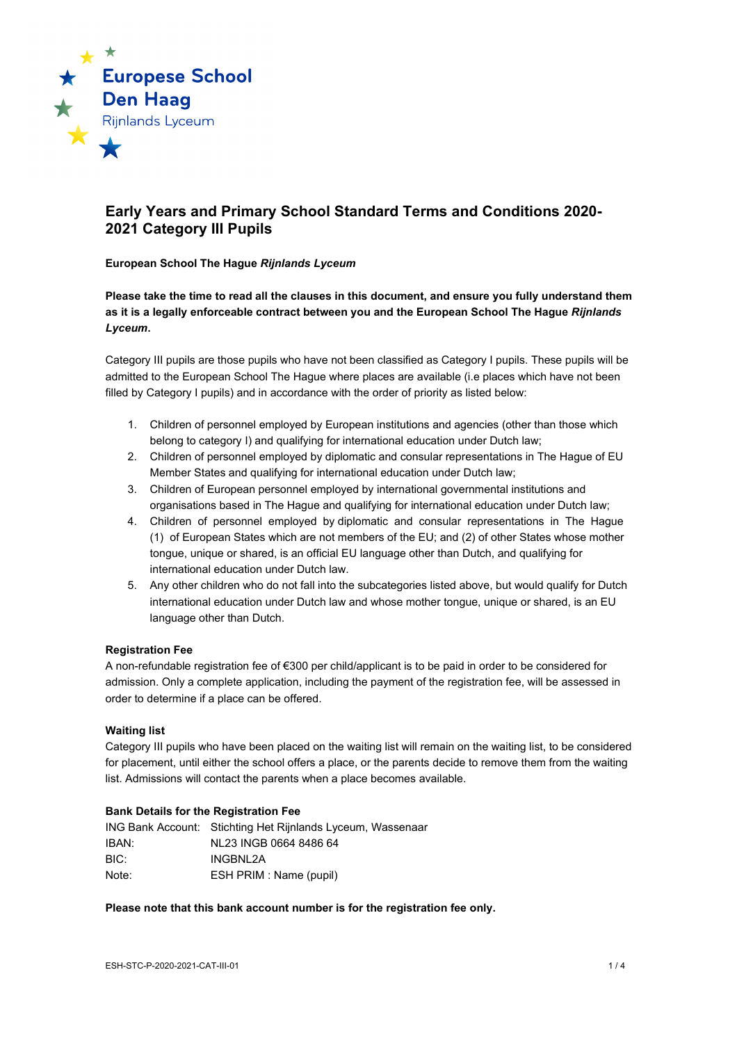

# **Early Years and Primary School Standard Terms and Conditions 2020- 2021 Category III Pupils**

#### **European School The Hague** *Rijnlands Lyceum*

**Please take the time to read all the clauses in this document, and ensure you fully understand them as it is a legally enforceable contract between you and the European School The Hague** *Rijnlands Lyceum***.**

Category III pupils are those pupils who have not been classified as Category I pupils. These pupils will be admitted to the European School The Hague where places are available (i.e places which have not been filled by Category I pupils) and in accordance with the order of priority as listed below:

- 1. Children of personnel employed by European institutions and agencies (other than those which belong to category I) and qualifying for international education under Dutch law;
- 2. Children of personnel employed by diplomatic and consular representations in The Hague of EU Member States and qualifying for international education under Dutch law;
- 3. Children of European personnel employed by international governmental institutions and organisations based in The Hague and qualifying for international education under Dutch law;
- 4. Children of personnel employed by diplomatic and consular representations in The Hague (1) of European States which are not members of the EU; and (2) of other States whose mother tongue, unique or shared, is an official EU language other than Dutch, and qualifying for international education under Dutch law.
- 5. Any other children who do not fall into the subcategories listed above, but would qualify for Dutch international education under Dutch law and whose mother tongue, unique or shared, is an EU language other than Dutch.

## **Registration Fee**

A non-refundable registration fee of €300 per child/applicant is to be paid in order to be considered for admission. Only a complete application, including the payment of the registration fee, will be assessed in order to determine if a place can be offered.

#### **Waiting list**

Category III pupils who have been placed on the waiting list will remain on the waiting list, to be considered for placement, until either the school offers a place, or the parents decide to remove them from the waiting list. Admissions will contact the parents when a place becomes available.

## **Bank Details for the Registration Fee**

|       | ING Bank Account: Stichting Het Rijnlands Lyceum, Wassenaar |
|-------|-------------------------------------------------------------|
| IBAN: | NL23 INGB 0664 8486 64                                      |
| BIC:  | INGBNL2A                                                    |
| Note: | ESH PRIM : Name (pupil)                                     |

## **Please note that this bank account number is for the registration fee only.**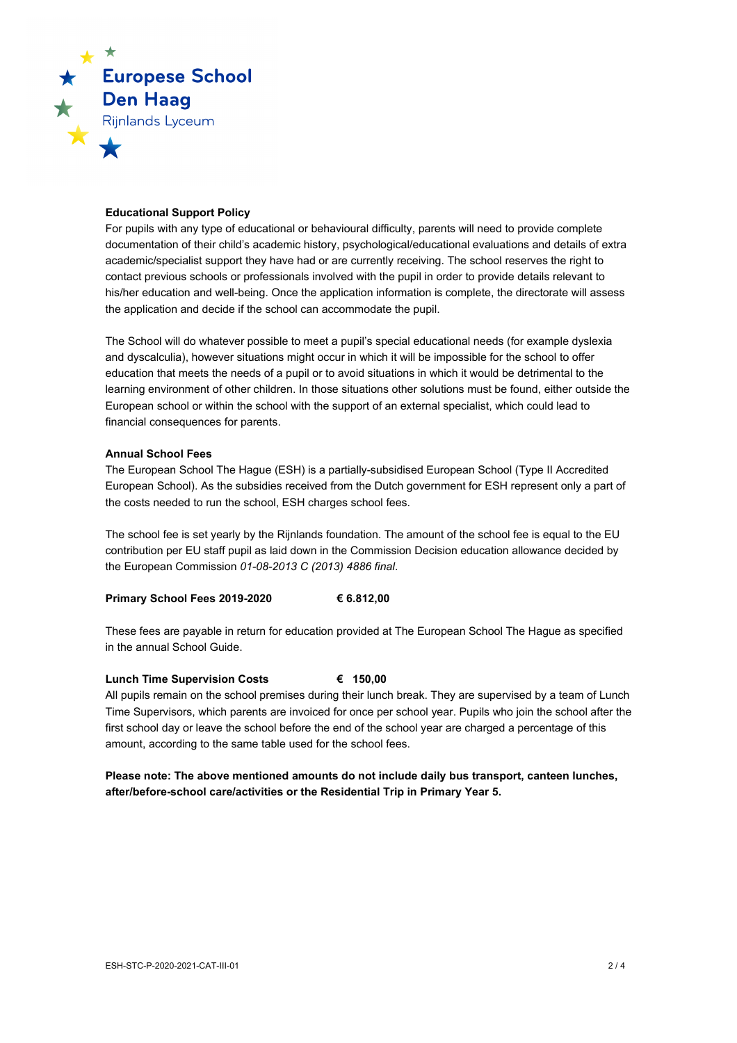

## **Educational Support Policy**

For pupils with any type of educational or behavioural difficulty, parents will need to provide complete documentation of their child's academic history, psychological/educational evaluations and details of extra academic/specialist support they have had or are currently receiving. The school reserves the right to contact previous schools or professionals involved with the pupil in order to provide details relevant to his/her education and well-being. Once the application information is complete, the directorate will assess the application and decide if the school can accommodate the pupil.

The School will do whatever possible to meet a pupil's special educational needs (for example dyslexia and dyscalculia), however situations might occur in which it will be impossible for the school to offer education that meets the needs of a pupil or to avoid situations in which it would be detrimental to the learning environment of other children. In those situations other solutions must be found, either outside the European school or within the school with the support of an external specialist, which could lead to financial consequences for parents.

## **Annual School Fees**

The European School The Hague (ESH) is a partially-subsidised European School (Type II Accredited European School). As the subsidies received from the Dutch government for ESH represent only a part of the costs needed to run the school, ESH charges school fees.

The school fee is set yearly by the Rijnlands foundation. The amount of the school fee is equal to the EU contribution per EU staff pupil as laid down in the Commission Decision education allowance decided by the European Commission *01-08-2013 C (2013) 4886 final*.

## **Primary School Fees 2019-2020 € 6.812,00**

These fees are payable in return for education provided at The European School The Hague as specified in the annual School Guide.

#### **Lunch Time Supervision Costs € 150,00**

All pupils remain on the school premises during their lunch break. They are supervised by a team of Lunch Time Supervisors, which parents are invoiced for once per school year. Pupils who join the school after the first school day or leave the school before the end of the school year are charged a percentage of this amount, according to the same table used for the school fees.

# **Please note: The above mentioned amounts do not include daily bus transport, canteen lunches, after/before-school care/activities or the Residential Trip in Primary Year 5.**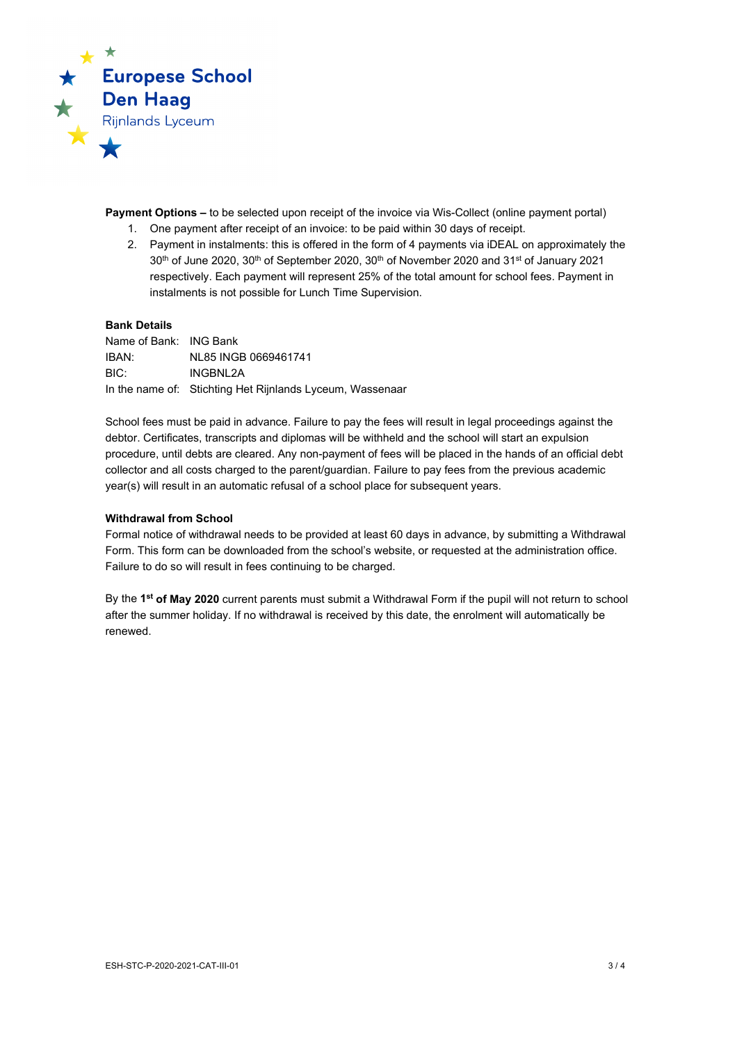

**Payment Options –** to be selected upon receipt of the invoice via Wis-Collect (online payment portal)

- 1. One payment after receipt of an invoice: to be paid within 30 days of receipt.
- 2. Payment in instalments: this is offered in the form of 4 payments via iDEAL on approximately the  $30<sup>th</sup>$  of June 2020,  $30<sup>th</sup>$  of September 2020,  $30<sup>th</sup>$  of November 2020 and  $31<sup>st</sup>$  of January 2021 respectively. Each payment will represent 25% of the total amount for school fees. Payment in instalments is not possible for Lunch Time Supervision.

#### **Bank Details**

Name of Bank: ING Bank IBAN: NL85 INGB 0669461741 BIC: INGBNL2A In the name of: Stichting Het Rijnlands Lyceum, Wassenaar

School fees must be paid in advance. Failure to pay the fees will result in legal proceedings against the debtor. Certificates, transcripts and diplomas will be withheld and the school will start an expulsion procedure, until debts are cleared. Any non-payment of fees will be placed in the hands of an official debt collector and all costs charged to the parent/guardian. Failure to pay fees from the previous academic year(s) will result in an automatic refusal of a school place for subsequent years.

#### **Withdrawal from School**

Formal notice of withdrawal needs to be provided at least 60 days in advance, by submitting a Withdrawal Form. This form can be downloaded from the school's website, or requested at the administration office. Failure to do so will result in fees continuing to be charged.

By the **1st of May 2020** current parents must submit a Withdrawal Form if the pupil will not return to school after the summer holiday. If no withdrawal is received by this date, the enrolment will automatically be renewed.